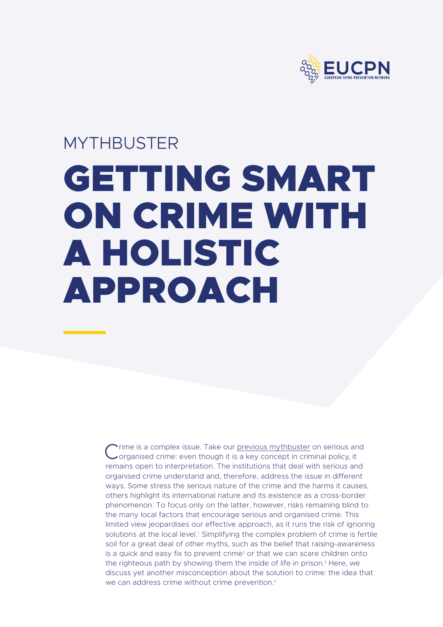

# MYTHBUSTER GETTING SMART ON CRIME WITH A HOLISTIC APPROACH

Crime is a complex issue. Take our [previous mythbuster](https://eucpn.org/mythbuster-organisedcrime) on serious and<br>Corganised crime: even though it is a key concept in criminal policy, it remains open to interpretation. The institutions that deal with serious and organised crime understand and, therefore, address the issue in different ways. Some stress the serious nature of the crime and the harms it causes, others highlight its international nature and its existence as a cross-border phenomenon. To focus only on the latter, however, risks remaining blind to the many local factors that encourage serious and organised crime. This limited view jeopardises our effective approach, as it runs the risk of ignoring solutions at the local level.<sup>1</sup> Simplifying the complex problem of crime is fertile soil for a great deal of other myths, such as the belief that raising-awareness is a quick and easy fix to prevent crime<sup>2</sup> or that we can scare children onto the righteous path by showing them the inside of life in prison.<sup>3</sup> Here, we discuss yet another misconception about the solution to crime: the idea that we can address crime without crime prevention.<sup>4</sup>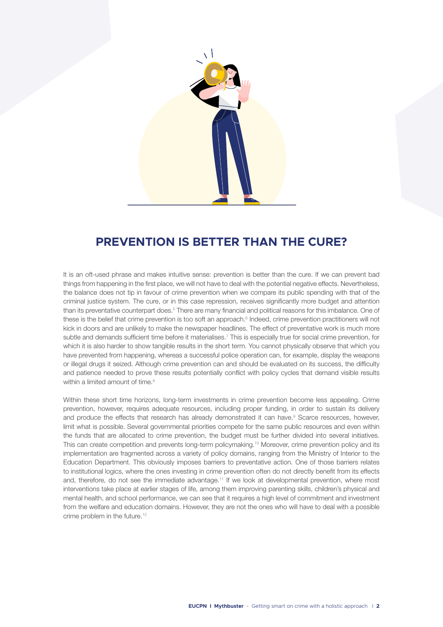

## **PREVENTION IS BETTER THAN THE CURE?**

It is an oft-used phrase and makes intuitive sense: prevention is better than the cure. If we can prevent bad things from happening in the first place, we will not have to deal with the potential negative effects. Nevertheless, the balance does not tip in favour of crime prevention when we compare its public spending with that of the criminal justice system. The cure, or in this case repression, receives significantly more budget and attention than its preventative counterpart does.<sup>5</sup> There are many financial and political reasons for this imbalance. One of these is the belief that crime prevention is too soft an approach.<sup>6</sup> Indeed, crime prevention practitioners will not kick in doors and are unlikely to make the newspaper headlines. The effect of preventative work is much more subtle and demands sufficient time before it materialises.<sup>7</sup> This is especially true for social crime prevention, for which it is also harder to show tangible results in the short term. You cannot physically observe that which you have prevented from happening, whereas a successful police operation can, for example, display the weapons or illegal drugs it seized. Although crime prevention can and should be evaluated on its success, the difficulty and patience needed to prove these results potentially conflict with policy cycles that demand visible results within a limited amount of time.<sup>8</sup>

Within these short time horizons, long-term investments in crime prevention become less appealing. Crime prevention, however, requires adequate resources, including proper funding, in order to sustain its delivery and produce the effects that research has already demonstrated it can have.<sup>9</sup> Scarce resources, however, limit what is possible. Several governmental priorities compete for the same public resources and even within the funds that are allocated to crime prevention, the budget must be further divided into several initiatives. This can create competition and prevents long-term policymaking.<sup>10</sup> Moreover, crime prevention policy and its implementation are fragmented across a variety of policy domains, ranging from the Ministry of Interior to the Education Department. This obviously imposes barriers to preventative action. One of those barriers relates to institutional logics, where the ones investing in crime prevention often do not directly benefit from its effects and, therefore, do not see the immediate advantage.<sup>11</sup> If we look at developmental prevention, where most interventions take place at earlier stages of life, among them improving parenting skills, children's physical and mental health, and school performance, we can see that it requires a high level of commitment and investment from the welfare and education domains. However, they are not the ones who will have to deal with a possible crime problem in the future.<sup>12</sup>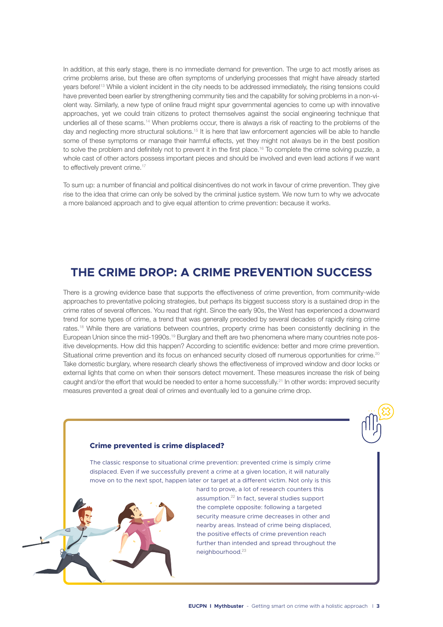In addition, at this early stage, there is no immediate demand for prevention. The urge to act mostly arises as crime problems arise, but these are often symptoms of underlying processes that might have already started years before!13 While a violent incident in the city needs to be addressed immediately, the rising tensions could have prevented been earlier by strengthening community ties and the capability for solving problems in a non-violent way. Similarly, a new type of online fraud might spur governmental agencies to come up with innovative approaches, yet we could train citizens to protect themselves against the social engineering technique that underlies all of these scams.14 When problems occur, there is always a risk of reacting to the problems of the day and neglecting more structural solutions.15 It is here that law enforcement agencies will be able to handle some of these symptoms or manage their harmful effects, yet they might not always be in the best position to solve the problem and definitely not to prevent it in the first place.<sup>16</sup> To complete the crime solving puzzle, a whole cast of other actors possess important pieces and should be involved and even lead actions if we want to effectively prevent crime.<sup>17</sup>

To sum up: a number of financial and political disincentives do not work in favour of crime prevention. They give rise to the idea that crime can only be solved by the criminal justice system. We now turn to why we advocate a more balanced approach and to give equal attention to crime prevention: because it works.

## **THE CRIME DROP: A CRIME PREVENTION SUCCESS**

There is a growing evidence base that supports the effectiveness of crime prevention, from community-wide approaches to preventative policing strategies, but perhaps its biggest success story is a sustained drop in the crime rates of several offences. You read that right. Since the early 90s, the West has experienced a downward trend for some types of crime, a trend that was generally preceded by several decades of rapidly rising crime rates.18 While there are variations between countries, property crime has been consistently declining in the European Union since the mid-1990s.19 Burglary and theft are two phenomena where many countries note positive developments. How did this happen? According to scientific evidence: better and more crime prevention. Situational crime prevention and its focus on enhanced security closed off numerous opportunities for crime.<sup>20</sup> Take domestic burglary, where research clearly shows the effectiveness of improved window and door locks or external lights that come on when their sensors detect movement. These measures increase the risk of being caught and/or the effort that would be needed to enter a home successfully.<sup>21</sup> In other words: improved security measures prevented a great deal of crimes and eventually led to a genuine crime drop.

#### **Crime prevented is crime displaced?**

The classic response to situational crime prevention: prevented crime is simply crime displaced. Even if we successfully prevent a crime at a given location, it will naturally move on to the next spot, happen later or target at a different victim. Not only is this

> hard to prove, a lot of research counters this assumption.<sup>22</sup> In fact, several studies support the complete opposite: following a targeted security measure crime decreases in other and nearby areas. Instead of crime being displaced, the positive effects of crime prevention reach further than intended and spread throughout the neighbourhood.<sup>23</sup>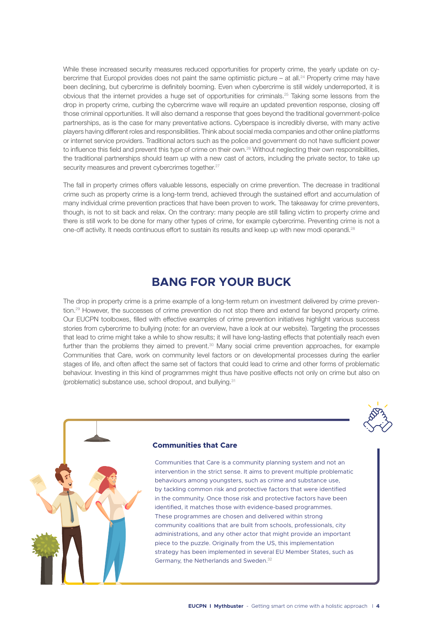While these increased security measures reduced opportunities for property crime, the yearly update on cybercrime that Europol provides does not paint the same optimistic picture – at all.<sup>24</sup> Property crime may have been declining, but cybercrime is definitely booming. Even when cybercrime is still widely underreported, it is obvious that the internet provides a huge set of opportunities for criminals.25 Taking some lessons from the drop in property crime, curbing the cybercrime wave will require an updated prevention response, closing off those criminal opportunities. It will also demand a response that goes beyond the traditional government-police partnerships, as is the case for many preventative actions. Cyberspace is incredibly diverse, with many active players having different roles and responsibilities. Think about social media companies and other online platforms or internet service providers. Traditional actors such as the police and government do not have sufficient power to influence this field and prevent this type of crime on their own.<sup>26</sup> Without neglecting their own responsibilities, the traditional partnerships should team up with a new cast of actors, including the private sector, to take up security measures and prevent cybercrimes together.<sup>27</sup>

The fall in property crimes offers valuable lessons, especially on crime prevention. The decrease in traditional crime such as property crime is a long-term trend, achieved through the sustained effort and accumulation of many individual crime prevention practices that have been proven to work. The takeaway for crime preventers, though, is not to sit back and relax. On the contrary: many people are still falling victim to property crime and there is still work to be done for many other types of crime, for example cybercrime. Preventing crime is not a one-off activity. It needs continuous effort to sustain its results and keep up with new modi operandi.28

## **BANG FOR YOUR BUCK**

The drop in property crime is a prime example of a long-term return on investment delivered by crime prevention.29 However, the successes of crime prevention do not stop there and extend far beyond property crime. Our EUCPN toolboxes, filled with effective examples of crime prevention initiatives highlight various success stories from cybercrime to bullying (note: for an overview, have a look at our website). Targeting the processes that lead to crime might take a while to show results; it will have long-lasting effects that potentially reach even further than the problems they aimed to prevent.<sup>30</sup> Many social crime prevention approaches, for example Communities that Care, work on community level factors or on developmental processes during the earlier stages of life, and often affect the same set of factors that could lead to crime and other forms of problematic behaviour. Investing in this kind of programmes might thus have positive effects not only on crime but also on (problematic) substance use, school dropout, and bullying.31





## **Communities that Care**

Communities that Care is a community planning system and not an intervention in the strict sense. It aims to prevent multiple problematic behaviours among youngsters, such as crime and substance use, by tackling common risk and protective factors that were identified in the community. Once those risk and protective factors have been identified, it matches those with evidence-based programmes. These programmes are chosen and delivered within strong community coalitions that are built from schools, professionals, city administrations, and any other actor that might provide an important piece to the puzzle. Originally from the US, this implementation strategy has been implemented in several EU Member States, such as Germany, the Netherlands and Sweden.<sup>32</sup>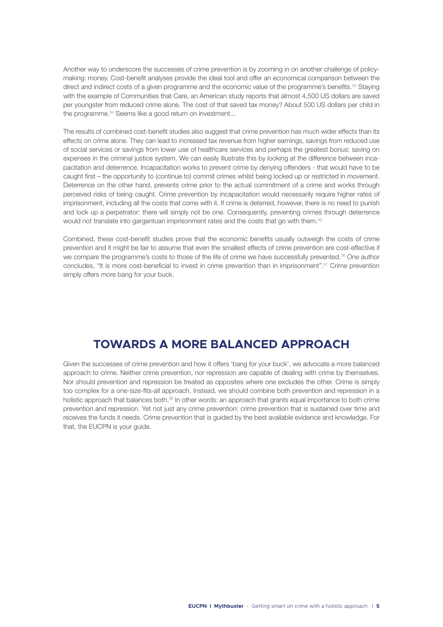Another way to underscore the successes of crime prevention is by zooming in on another challenge of policymaking: money. Cost-benefit analyses provide the ideal tool and offer an economical comparison between the direct and indirect costs of a given programme and the economic value of the programme's benefits.<sup>33</sup> Staying with the example of Communities that Care, an American study reports that almost 4,500 US dollars are saved per youngster from reduced crime alone. The cost of that saved tax money? About 500 US dollars per child in the programme.<sup>34</sup> Seems like a good return on investment...

The results of combined cost-benefit studies also suggest that crime prevention has much wider effects than its effects on crime alone. They can lead to increased tax revenue from higher earnings, savings from reduced use of social services or savings from lower use of healthcare services and perhaps the greatest bonus: saving on expenses in the criminal justice system. We can easily illustrate this by looking at the difference between incapacitation and deterrence. Incapacitation works to prevent crime by denying offenders - that would have to be caught first – the opportunity to (continue to) commit crimes whilst being locked up or restricted in movement. Deterrence on the other hand, prevents crime prior to the actual commitment of a crime and works through perceived risks of being caught. Crime prevention by incapacitation would necessarily require higher rates of imprisonment, including all the costs that come with it. If crime is deterred, however, there is no need to punish and lock up a perpetrator: there will simply not be one. Consequently, preventing crimes through deterrence would not translate into gargantuan imprisonment rates and the costs that go with them.35

Combined, these cost-benefit studies prove that the economic benefits usually outweigh the costs of crime prevention and it might be fair to assume that even the smallest effects of crime prevention are cost-effective if we compare the programme's costs to those of the life of crime we have successfully prevented.<sup>36</sup> One author concludes, "It is more cost-beneficial to invest in crime prevention than in imprisonment".37 Crime prevention simply offers more bang for your buck.

## **TOWARDS A MORE BALANCED APPROACH**

Given the successes of crime prevention and how it offers 'bang for your buck', we advocate a more balanced approach to crime. Neither crime prevention, nor repression are capable of dealing with crime by themselves. Nor should prevention and repression be treated as opposites where one excludes the other. Crime is simply too complex for a one-size-fits-all approach. Instead, we should combine both prevention and repression in a holistic approach that balances both.<sup>38</sup> In other words: an approach that grants equal importance to both crime prevention and repression. Yet not just any crime prevention: crime prevention that is sustained over time and receives the funds it needs. Crime prevention that is guided by the best available evidence and knowledge. For that, the EUCPN is your quide.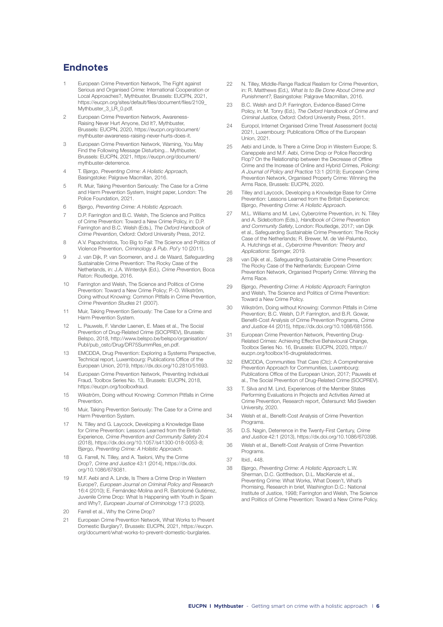## **Endnotes**

- European Crime Prevention Network, The Fight against Serious and Organised Crime: International Cooperation or Local Approaches?, Mythbuster, Brussels: EUCPN, 2021, https://eucpn.org/sites/default/files/document/files/2109\_ Mythbuster\_3\_LR\_0.pdf.
- 2 European Crime Prevention Network, Awareness-Raising Never Hurt Anyone, Did It?, Mythbuster, Brussels: EUCPN, 2020, https://eucpn.org/document/ mythbuster-awareness-raising-never-hurts-does-it.
- 3 European Crime Prevention Network, Warning, You May Find the Following Message Disturbing... Mythbuster, Brussels: EUCPN, 2021, https://eucpn.org/document/ mythbuster-deterrence.
- 4 T. Bjørgo, Preventing Crime: A Holistic Approach, Basingstoke: Palgrave Macmillan, 2016.
- 5 R. Muir, Taking Prevention Seriously: The Case for a Crime and Harm Prevention System, Insight paper, London: The Police Foundation, 2021.
- 6 Bjørgo, Preventing Crime: A Holistic Approach.
- D.P. Farrington and B.C. Welsh, The Science and Politics of Crime Prevention: Toward a New Crime Policy, in: D.P. Farrington and B.C. Welsh (Eds.), The Oxford Handbook of Crime Prevention, Oxford: Oxford University Press, 2012.
- 8 A.V. Papachristos, Too Big to Fail: The Science and Politics of Violence Prevention, Criminology & Pub. Pol'y 10 (2011).
- 9 J. van Dijk, P. van Soomeren, and J. de Waard, Safeguarding Sustainable Crime Prevention: The Rocky Case of the Netherlands, in: J.A. Winterdyk (Ed.), Crime Prevention, Boca Raton: Routledge, 2016.
- 10 Farrington and Welsh, The Science and Politics of Crime Prevention: Toward a New Crime Policy; P.-O. Wikström, Doing without Knowing: Common Pitfalls in Crime Prevention, Crime Prevention Studies 21 (2007).
- 11 Muir, Taking Prevention Seriously: The Case for a Crime and Harm Prevention System.
- 12 L. Pauwels, F. Vander Laenen, E. Maes et al., The Social Prevention of Drug-Related Crime (SOCPREV), Brussels: Belspo, 2018, http://www.belspo.be/belspo/organisation/ Publ/pub\_ostc/Drug/DR75SummRes\_en.pdf.
- 13 EMCDDA, Drug Prevention: Exploring a Systems Perspective, Technical report, Luxembourg: Publications Office of the European Union, 2019, https://dx.doi.org/10.2810/51693.
- 14 European Crime Prevention Network, Preventing Individual Fraud, Toolbox Series No. 13, Brussels: EUCPN, 2018, https://eucpn.org/toolboxfraud.
- 15 Wikström, Doing without Knowing: Common Pitfalls in Crime **Prevention**
- 16 Muir, Taking Prevention Seriously: The Case for a Crime and Harm Prevention System.
- 17 N. Tilley and G. Laycock, Developing a Knowledge Base for Crime Prevention: Lessons Learned from the British Experience, Crime Prevention and Community Safety 20:4 (2018), https://dx.doi.org/10.1057/s41300-018-0053-8; Bjørgo, Preventing Crime: A Holistic Approach.
- 18 G. Farrell, N. Tilley, and A. Tseloni, Why the Crime Drop?, Crime and Justice 43:1 (2014), https://dx.doi. org/10.1086/678081.
- 19 M.F. Aebi and A. Linde, Is There a Crime Drop in Western Europe?, European Journal on Criminal Policy and Research 16:4 (2010); E. Fernández-Molina and R. Bartolomé Gutiérrez, Juvenile Crime Drop: What Is Happening with Youth in Spain and Why?, European Journal of Criminology 17:3 (2020).
- 20 Farrell et al., Why the Crime Drop?
- 21 European Crime Prevention Network, What Works to Prevent Domestic Burglary?, Brussels: EUCPN, 2021, https://eucpn. org/document/what-works-to-prevent-domestic-burglaries.
- 22 N. Tilley, Middle-Range Radical Realism for Crime Prevention, in: R. Matthews (Ed.), What Is to Be Done About Crime and Punishment?, Basingstoke: Palgrave Macmillan, 2016.
- 23 B.C. Welsh and D.P. Farrington, Evidence-Based Crime Policy, in: M. Tonry (Ed.), The Oxford Handbook of Crime and Criminal Justice, Oxford: Oxford University Press, 2011.
- 24 Europol, Internet Organised Crime Threat Assessment (Iocta) 2021, Luxembourg: Publications Office of the European Union, 2021.
- 25 Aebi and Linde, Is There a Crime Drop in Western Europe; S. Caneppele and M.F. Aebi, Crime Drop or Police Recording Flop? On the Relationship between the Decrease of Offline Crime and the Increase of Online and Hybrid Crimes, Policing: A Journal of Policy and Practice 13:1 (2019); European Crime Prevention Network, Organised Property Crime: Winning the Arms Race, Brussels: EUCPN, 2020.
- 26 Tilley and Laycock, Developing a Knowledge Base for Crime Prevention: Lessons Learned from the British Experience; Bjørgo, Preventing Crime: A Holistic Approach.
- 27 M.L. Williams and M. Levi, Cybercrime Prevention, in: N. Tilley and A. Sidebottom (Eds.), Handbook of Crime Prevention and Community Safety, London: Routledge, 2017; van Dijk et al., Safeguarding Sustainable Crime Prevention: The Rocky Case of the Netherlands; R. Brewer, M. de Vel-Palumbo, A. Hutchings et al., Cybercrime Prevention: Theory and Applications: Springer, 2019.
- 28 van Dijk et al., Safeguarding Sustainable Crime Prevention: The Rocky Case of the Netherlands; European Crime Prevention Network, Organised Property Crime: Winning the Arms Race.
- 29 Bjørgo, Preventing Crime: A Holistic Approach; Farrington and Welsh, The Science and Politics of Crime Prevention: Toward a New Crime Policy.
- 30 Wikström, Doing without Knowing: Common Pitfalls in Crime Prevention; B.C. Welsh, D.P. Farrington, and B.R. Gowar, Benefit-Cost Analysis of Crime Prevention Programs, Crime and Justice 44 (2015), https://dx.doi.org/10.1086/681556.
- 31 European Crime Prevention Network, Preventing Drug-Related Crimes: Achieving Effective Behavioural Change, Toolbox Series No. 16, Brussels: EUCPN, 2020, https:// eucpn.org/toolbox16-drugrelatedcrimes.
- EMCDDA, Communities That Care (Ctc): A Comprehensive Prevention Approach for Communities, Luxembourg: Publications Office of the European Union, 2017; Pauwels et al., The Social Prevention of Drug-Related Crime (SOCPREV).
- 33 T. Silva and M. Lind, Experiences of the Member States Performing Evaluations in Projects and Activities Aimed at Crime Prevention, Research report, Östersund: Mid Sweden University, 2020.
- 34 Welsh et al., Benefit-Cost Analysis of Crime Prevention Programs.
- 35 D.S. Nagin, Deterrence in the Twenty-First Century, Crime and Justice 42:1 (2013), https://dx.doi.org/10.1086/670398.
- 36 Welsh et al., Benefit-Cost Analysis of Crime Prevention Programs.
- 37 Ibid., 448.
- 38 Bjørgo, Preventing Crime: A Holistic Approach; L.W. Sherman, D.C. Gottfredson, D.L. MacKenzie et al., Preventing Crime: What Works, What Doesn't, What's Promising, Research in brief, Washington D.C.: National Institute of Justice, 1998; Farrington and Welsh, The Science and Politics of Crime Prevention: Toward a New Crime Policy.